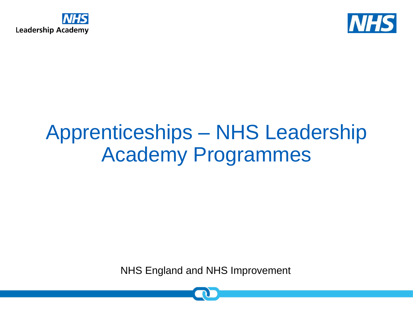



# Apprenticeships – NHS Leadership Academy Programmes

NHS England and NHS Improvement

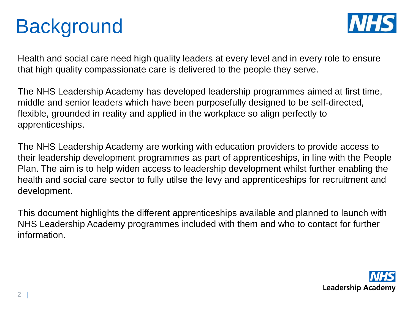# **Background**



Health and social care need high quality leaders at every level and in every role to ensure that high quality compassionate care is delivered to the people they serve.

The NHS Leadership Academy has developed leadership programmes aimed at first time, middle and senior leaders which have been purposefully designed to be self-directed, flexible, grounded in reality and applied in the workplace so align perfectly to apprenticeships.

The NHS Leadership Academy are working with education providers to provide access to their leadership development programmes as part of apprenticeships, in line with the People Plan. The aim is to help widen access to leadership development whilst further enabling the health and social care sector to fully utilse the levy and apprenticeships for recruitment and development.

This document highlights the different apprenticeships available and planned to launch with NHS Leadership Academy programmes included with them and who to contact for further information.

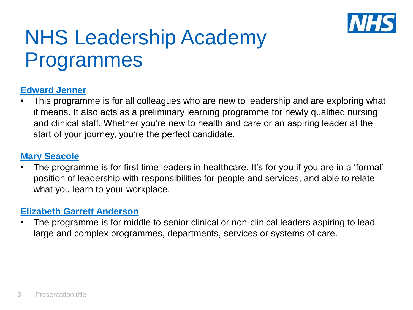

## NHS Leadership Academy Programmes

#### **[Edward Jenner](https://www.leadershipacademy.nhs.uk/programmes/the-edward-jenner-programme/)**

This programme is for all colleagues who are new to leadership and are exploring what it means. It also acts as a preliminary learning programme for newly qualified nursing and clinical staff. Whether you're new to health and care or an aspiring leader at the start of your journey, you're the perfect candidate.

#### **[Mary Seacole](https://www.leadershipacademy.nhs.uk/programmes/mary-seacole-programme/)**

The programme is for first time leaders in healthcare. It's for you if you are in a 'formal' position of leadership with responsibilities for people and services, and able to relate what you learn to your workplace.

#### **[Elizabeth Garrett Anderson](https://www.leadershipacademy.nhs.uk/programmes/elizabeth-garrett-anderson-programme/)**

The programme is for middle to senior clinical or non-clinical leaders aspiring to lead large and complex programmes, departments, services or systems of care.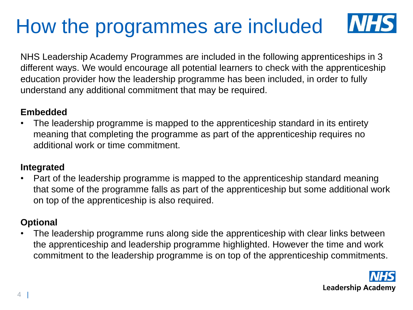# How the programmes are included

NHS Leadership Academy Programmes are included in the following apprenticeships in 3 different ways. We would encourage all potential learners to check with the apprenticeship education provider how the leadership programme has been included, in order to fully understand any additional commitment that may be required.

#### **Embedded**

• The leadership programme is mapped to the apprenticeship standard in its entirety meaning that completing the programme as part of the apprenticeship requires no additional work or time commitment.

#### **Integrated**

• Part of the leadership programme is mapped to the apprenticeship standard meaning that some of the programme falls as part of the apprenticeship but some additional work on top of the apprenticeship is also required.

#### **Optional**

The leadership programme runs along side the apprenticeship with clear links between the apprenticeship and leadership programme highlighted. However the time and work commitment to the leadership programme is on top of the apprenticeship commitments.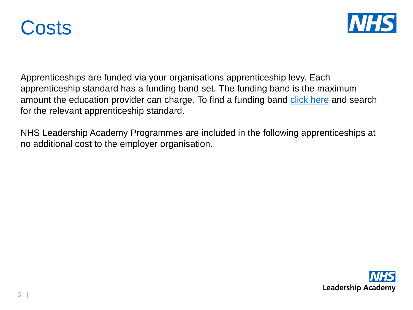



Apprenticeships are funded via your organisations apprenticeship levy. Each apprenticeship standard has a funding band set. The funding band is the maximum amount the education provider can charge. To find a funding band [click here](https://www.instituteforapprenticeships.org/apprenticeship-standards/?) and search for the relevant apprenticeship standard.

NHS Leadership Academy Programmes are included in the following apprenticeships at no additional cost to the employer organisation.

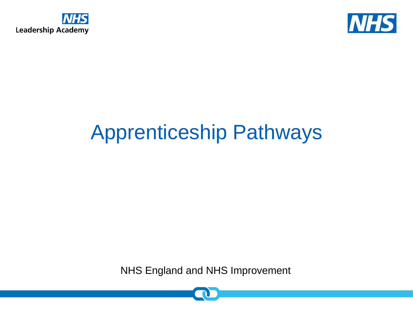



# Apprenticeship Pathways

NHS England and NHS Improvement

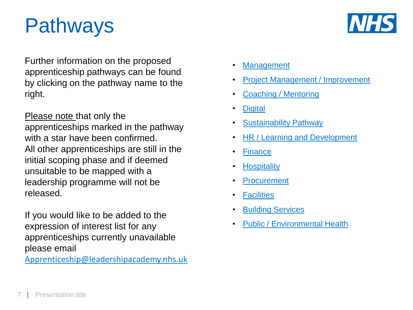## Pathways



Further information on the proposed apprenticeship pathways can be found by clicking on the pathway name to the right.

Please note that only the apprenticeships marked in the pathway with a star have been confirmed. All other apprenticeships are still in the initial scoping phase and if deemed unsuitable to be mapped with a leadership programme will not be released.

If you would like to be added to the expression of interest list for any apprenticeships currently unavailable please email

[Apprenticeship@leadershipacademy.nhs.uk](mailto:Apprenticeship@leadershipacademy.nhs.uk)

- [Management](#page-7-0)
- [Project Management / Improvement](#page-15-0)
- [Coaching / Mentoring](#page-24-0)
- **[Digital](#page-26-0)**
- **[Sustainability Pathway](#page-31-0)**
- [HR / Learning and Development](#page-33-0)
- [Finance](#page-40-0)
- **[Hospitality](#page-46-0)**
- **[Procurement](#page-49-0)**
- [Facilities](#page-52-0)
- [Building Services](#page-53-0)
- [Public / Environmental Health](#page-54-0)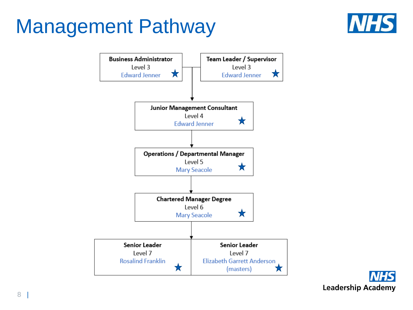## <span id="page-7-0"></span>Management Pathway





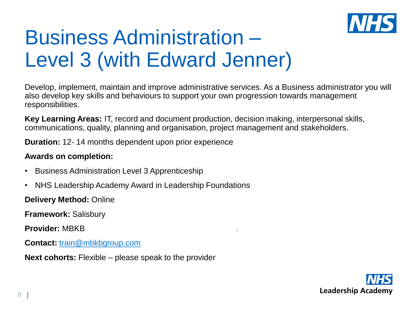

# Business Administration – Level 3 (with Edward Jenner)

Develop, implement, maintain and improve administrative services. As a Business administrator you will also develop key skills and behaviours to support your own progression towards management responsibilities.

Ĕ

**Key Learning Areas:** IT, record and document production, decision making, interpersonal skills, communications, quality, planning and organisation, project management and stakeholders.

**Duration:** 12- 14 months dependent upon prior experience

#### **Awards on completion:**

- Business Administration Level 3 Apprenticeship
- NHS Leadership Academy Award in Leadership Foundations

**Delivery Method:** Online

**Framework:** Salisbury

**Provider:** MBKB

**Contact:** [train@mbkbgroup.com](mailto:mark@mbkbgroup.com)

**Next cohorts:** Flexible – please speak to the provider

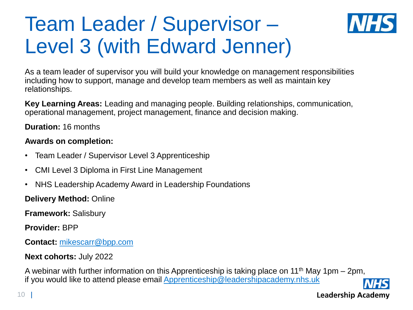# Team Leader / Supervisor – Level 3 (with Edward Jenner)



As a team leader of supervisor you will build your knowledge on management responsibilities including how to support, manage and develop team members as well as maintain key relationships.

**Key Learning Areas:** Leading and managing people. Building relationships, communication, operational management, project management, finance and decision making.

**Duration:** 16 months

#### **Awards on completion:**

- Team Leader / Supervisor Level 3 Apprenticeship
- CMI Level 3 Diploma in First Line Management
- NHS Leadership Academy Award in Leadership Foundations

**Delivery Method:** Online

**Framework:** Salisbury

**Provider:** BPP

**Contact:** [mikescarr@bpp.com](mailto:mikescarr@bpp.com)

#### **Next cohorts:** July 2022

A webinar with further information on this Apprenticeship is taking place on 11<sup>th</sup> May 1pm – 2pm, if you would like to attend please email [Apprenticeship@leadershipacademy.nhs.uk](mailto:Apprenticeship@leadershipacademy.nhs.uk)

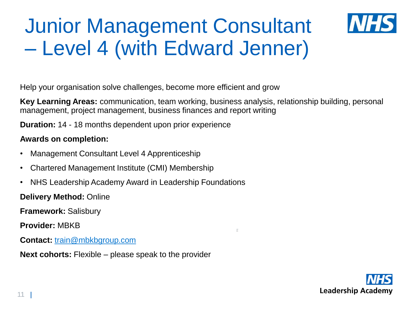# Junior Management Consultant – Level 4 (with Edward Jenner)

Help your organisation solve challenges, become more efficient and grow

**Key Learning Areas:** communication, team working, business analysis, relationship building, personal management, project management, business finances and report writing

Ë

**Duration:** 14 - 18 months dependent upon prior experience

#### **Awards on completion:**

- Management Consultant Level 4 Apprenticeship
- Chartered Management Institute (CMI) Membership
- NHS Leadership Academy Award in Leadership Foundations

**Delivery Method:** Online

**Framework:** Salisbury

**Provider:** MBKB

**Contact:** [train@mbkbgroup.com](mailto:mark@mbkbgroup.com) 

**Next cohorts:** Flexible – please speak to the provider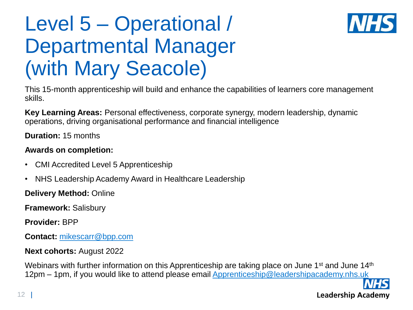## Level 5 – Operational / Departmental Manager (with Mary Seacole)



This 15-month apprenticeship will build and enhance the capabilities of learners core management skills.

**Key Learning Areas:** Personal effectiveness, corporate synergy, modern leadership, dynamic operations, driving organisational performance and financial intelligence

**Duration:** 15 months

#### **Awards on completion:**

- CMI Accredited Level 5 Apprenticeship
- NHS Leadership Academy Award in Healthcare Leadership

**Delivery Method:** Online

**Framework:** Salisbury

**Provider:** BPP

**Contact:** [mikescarr@bpp.com](mailto:mikescarr@bpp.com)

#### **Next cohorts:** August 2022

Webinars with further information on this Apprenticeship are taking place on June 1<sup>st</sup> and June 14<sup>th</sup> 12pm – 1pm, if you would like to attend please email [Apprenticeship@leadershipacademy.nhs.uk](mailto:Apprenticeship@leadershipacademy.nhs.uk)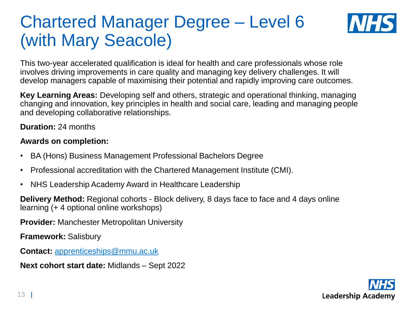## Chartered Manager Degree – Level 6 (with Mary Seacole)



This two-year accelerated qualification is ideal for health and care professionals whose role involves driving improvements in care quality and managing key delivery challenges. It will develop managers capable of maximising their potential and rapidly improving care outcomes.

**Key Learning Areas:** Developing self and others, strategic and operational thinking, managing changing and innovation, key principles in health and social care, leading and managing people and developing collaborative relationships.

**Duration:** 24 months

#### **Awards on completion:**

- BA (Hons) Business Management Professional Bachelors Degree
- Professional accreditation with the Chartered Management Institute (CMI).
- NHS Leadership Academy Award in Healthcare Leadership

**Delivery Method:** Regional cohorts - Block delivery, 8 days face to face and 4 days online learning (+ 4 optional online workshops)

**Provider:** Manchester Metropolitan University

**Framework:** Salisbury

**Contact:** [apprenticeships@mmu.ac.uk](mailto:apprenticeships@mmu.ac.uk)

**Next cohort start date:** Midlands – Sept 2022

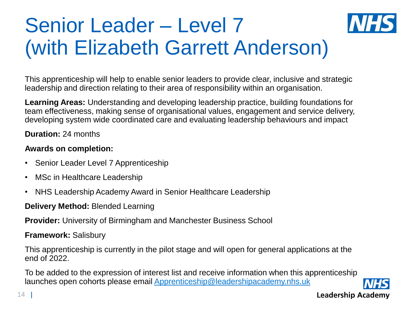# Senior Leader – Level 7 (with Elizabeth Garrett Anderson)

This apprenticeship will help to enable senior leaders to provide clear, inclusive and strategic leadership and direction relating to their area of responsibility within an organisation.

**Learning Areas:** Understanding and developing leadership practice, building foundations for team effectiveness, making sense of organisational values, engagement and service delivery, developing system wide coordinated care and evaluating leadership behaviours and impact

**Duration:** 24 months

#### **Awards on completion:**

- Senior Leader Level 7 Apprenticeship
- MSc in Healthcare Leadership
- NHS Leadership Academy Award in Senior Healthcare Leadership

**Delivery Method:** Blended Learning

**Provider:** University of Birmingham and Manchester Business School

#### **Framework:** Salisbury

This apprenticeship is currently in the pilot stage and will open for general applications at the end of 2022.

To be added to the expression of interest list and receive information when this apprenticeship launches open cohorts please email [Apprenticeship@leadershipacademy.nhs.uk](mailto:Apprenticeship@leadershipacademy.nhs.uk)

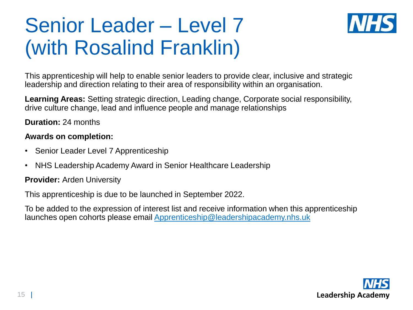# Senior Leader – Level 7 (with Rosalind Franklin)



This apprenticeship will help to enable senior leaders to provide clear, inclusive and strategic leadership and direction relating to their area of responsibility within an organisation.

**Learning Areas:** Setting strategic direction, Leading change, Corporate social responsibility, drive culture change, lead and influence people and manage relationships

**Duration:** 24 months

#### **Awards on completion:**

- Senior Leader Level 7 Apprenticeship
- NHS Leadership Academy Award in Senior Healthcare Leadership

**Provider:** Arden University

This apprenticeship is due to be launched in September 2022.

To be added to the expression of interest list and receive information when this apprenticeship launches open cohorts please email [Apprenticeship@leadershipacademy.nhs.uk](mailto:Apprenticeship@leadershipacademy.nhs.uk)

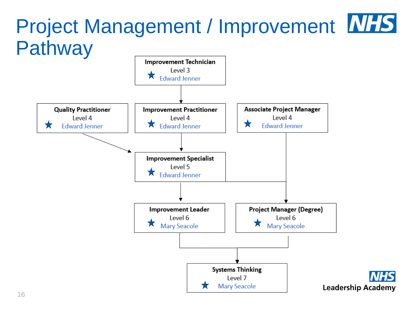<span id="page-15-0"></span>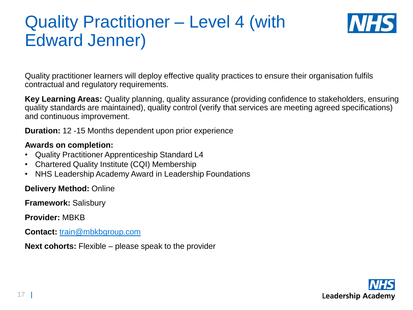## Quality Practitioner – Level 4 (with Edward Jenner)



Quality practitioner learners will deploy effective quality practices to ensure their organisation fulfils contractual and regulatory requirements.

**Key Learning Areas:** Quality planning, quality assurance (providing confidence to stakeholders, ensuring quality standards are maintained), quality control (verify that services are meeting agreed specifications) and continuous improvement.

**Duration:** 12 -15 Months dependent upon prior experience

#### **Awards on completion:**

- Quality Practitioner Apprenticeship Standard L4
- Chartered Quality Institute (CQI) Membership
- NHS Leadership Academy Award in Leadership Foundations

**Delivery Method:** Online

**Framework:** Salisbury

**Provider:** MBKB

**Contact:** [train@mbkbgroup.com](mailto:mark@mbkbgroup.com)

**Next cohorts:** Flexible – please speak to the provider

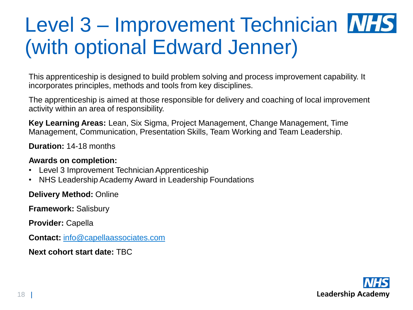# Level 3 – Improvement Technician MHS (with optional Edward Jenner)

This apprenticeship is designed to build problem solving and process improvement capability. It incorporates principles, methods and tools from key disciplines.

The apprenticeship is aimed at those responsible for delivery and coaching of local improvement activity within an area of responsibility.

**Key Learning Areas:** Lean, Six Sigma, Project Management, Change Management, Time Management, Communication, Presentation Skills, Team Working and Team Leadership.

**Duration:** 14-18 months

#### **Awards on completion:**

- Level 3 Improvement Technician Apprenticeship
- NHS Leadership Academy Award in Leadership Foundations

**Delivery Method:** Online

**Framework:** Salisbury

**Provider:** Capella

**Contact:** [info@capellaassociates.com](mailto:info@capellaassociates.com)

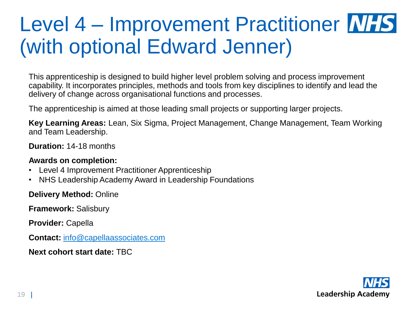# Level 4 – Improvement Practitioner MHS (with optional Edward Jenner)

This apprenticeship is designed to build higher level problem solving and process improvement capability. It incorporates principles, methods and tools from key disciplines to identify and lead the delivery of change across organisational functions and processes.

The apprenticeship is aimed at those leading small projects or supporting larger projects.

**Key Learning Areas:** Lean, Six Sigma, Project Management, Change Management, Team Working and Team Leadership.

**Duration:** 14-18 months

#### **Awards on completion:**

- Level 4 Improvement Practitioner Apprenticeship
- NHS Leadership Academy Award in Leadership Foundations

**Delivery Method:** Online

**Framework:** Salisbury

**Provider:** Capella

**Contact:** [info@capellaassociates.com](mailto:info@capellaassociates.com)

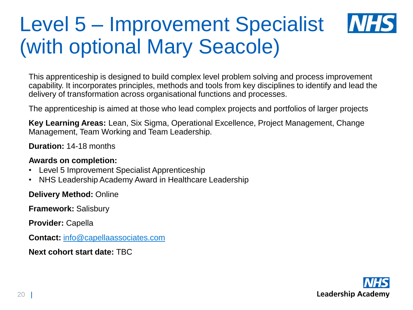### Level 5 – Improvement Specialist **MA** (with optional Mary Seacole)

This apprenticeship is designed to build complex level problem solving and process improvement capability. It incorporates principles, methods and tools from key disciplines to identify and lead the delivery of transformation across organisational functions and processes.

The apprenticeship is aimed at those who lead complex projects and portfolios of larger projects

**Key Learning Areas:** Lean, Six Sigma, Operational Excellence, Project Management, Change Management, Team Working and Team Leadership.

**Duration:** 14-18 months

#### **Awards on completion:**

- Level 5 Improvement Specialist Apprenticeship
- NHS Leadership Academy Award in Healthcare Leadership

**Delivery Method:** Online

**Framework:** Salisbury

**Provider:** Capella

**Contact:** [info@capellaassociates.com](mailto:info@capellaassociates.com)

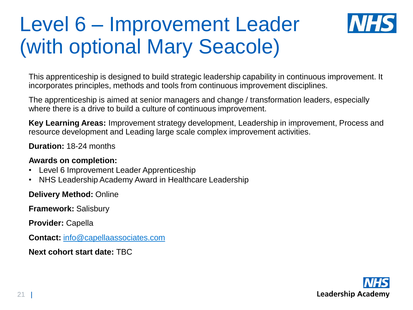# Level 6 – Improvement Leader (with optional Mary Seacole)



This apprenticeship is designed to build strategic leadership capability in continuous improvement. It incorporates principles, methods and tools from continuous improvement disciplines.

The apprenticeship is aimed at senior managers and change / transformation leaders, especially where there is a drive to build a culture of continuous improvement.

**Key Learning Areas:** Improvement strategy development, Leadership in improvement, Process and resource development and Leading large scale complex improvement activities.

**Duration:** 18-24 months

#### **Awards on completion:**

- Level 6 Improvement Leader Apprenticeship
- NHS Leadership Academy Award in Healthcare Leadership

**Delivery Method:** Online

**Framework:** Salisbury

**Provider:** Capella

**Contact:** [info@capellaassociates.com](mailto:info@capellaassociates.com)

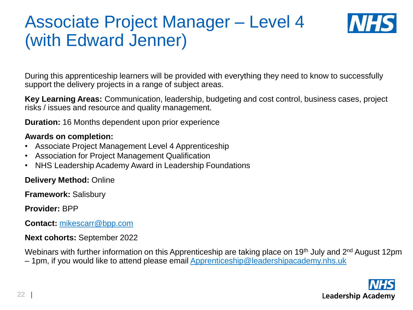### Associate Project Manager – Level 4 (with Edward Jenner)



During this apprenticeship learners will be provided with everything they need to know to successfully support the delivery projects in a range of subject areas.

**Key Learning Areas:** Communication, leadership, budgeting and cost control, business cases, project risks / issues and resource and quality management.

**Duration:** 16 Months dependent upon prior experience

#### **Awards on completion:**

- Associate Project Management Level 4 Apprenticeship
- Association for Project Management Qualification
- NHS Leadership Academy Award in Leadership Foundations

**Delivery Method:** Online

**Framework:** Salisbury

**Provider:** BPP

**Contact:** [mikescarr@bpp.com](mailto:mikescarr@bpp.com)

**Next cohorts:** September 2022

Webinars with further information on this Apprenticeship are taking place on 19<sup>th</sup> July and 2<sup>nd</sup> August 12pm – 1pm, if you would like to attend please email [Apprenticeship@leadershipacademy.nhs.uk](mailto:Apprenticeship@leadershipacademy.nhs.uk)

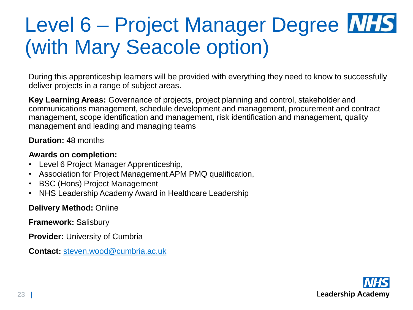# Level 6 – Project Manager Degree **WHS** (with Mary Seacole option)

During this apprenticeship learners will be provided with everything they need to know to successfully deliver projects in a range of subject areas.

**Key Learning Areas:** Governance of projects, project planning and control, stakeholder and communications management, schedule development and management, procurement and contract management, scope identification and management, risk identification and management, quality management and leading and managing teams

**Duration:** 48 months

#### **Awards on completion:**

- Level 6 Project Manager Apprenticeship,
- Association for Project Management APM PMQ qualification,
- BSC (Hons) Project Management
- NHS Leadership Academy Award in Healthcare Leadership

#### **Delivery Method:** Online

**Framework:** Salisbury

**Provider:** University of Cumbria

**Contact:** [steven.wood@cumbria.ac.uk](mailto:steven.wood@cumbria.ac.uk)

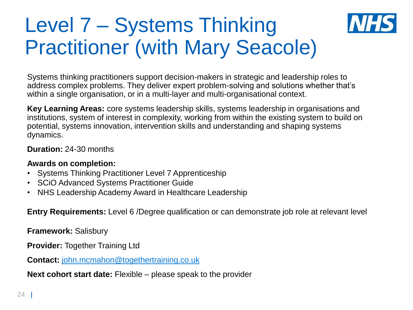## Level 7 – Systems Thinking Practitioner (with Mary Seacole)

Systems thinking practitioners support decision-makers in strategic and leadership roles to address complex problems. They deliver expert problem-solving and solutions whether that's within a single organisation, or in a multi-layer and multi-organisational context.

**Key Learning Areas:** core systems leadership skills, systems leadership in organisations and institutions, system of interest in complexity, working from within the existing system to build on potential, systems innovation, intervention skills and understanding and shaping systems dynamics.

#### **Duration:** 24-30 months

#### **Awards on completion:**

- Systems Thinking Practitioner Level 7 Apprenticeship
- SCiO Advanced Systems Practitioner Guide
- NHS Leadership Academy Award in Healthcare Leadership

**Entry Requirements:** Level 6 /Degree qualification or can demonstrate job role at relevant level

**Framework:** Salisbury

**Provider:** Together Training Ltd

**Contact:** [john.mcmahon@togethertraining.co.uk](mailto:john.mcmahon@togethertraining.co.uk)

**Next cohort start date:** Flexible – please speak to the provider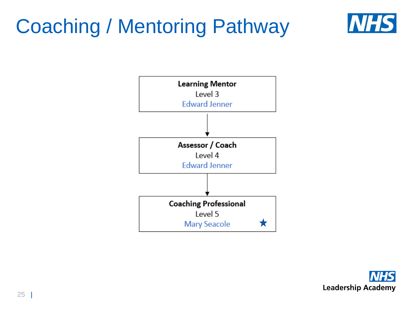# <span id="page-24-0"></span>Coaching / Mentoring Pathway





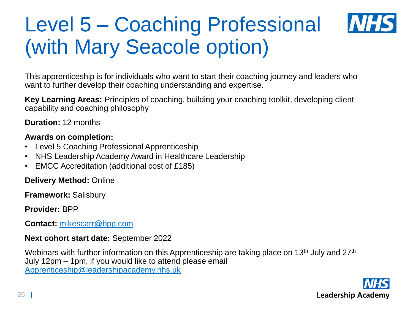# Level 5 – Coaching Professional (with Mary Seacole option)



This apprenticeship is for individuals who want to start their coaching journey and leaders who want to further develop their coaching understanding and expertise.

**Key Learning Areas:** Principles of coaching, building your coaching toolkit, developing client capability and coaching philosophy

**Duration:** 12 months

#### **Awards on completion:**

- Level 5 Coaching Professional Apprenticeship
- NHS Leadership Academy Award in Healthcare Leadership
- EMCC Accreditation (additional cost of £185)

**Delivery Method:** Online

**Framework:** Salisbury

**Provider:** BPP

**Contact:** [mikescarr@bpp.com](mailto:mikescarr@bpp.com)

#### **Next cohort start date:** September 2022

Webinars with further information on this Apprenticeship are taking place on 13<sup>th</sup> July and 27<sup>th</sup> July 12pm – 1pm, if you would like to attend please email [Apprenticeship@leadershipacademy.nhs.uk](mailto:Apprenticeship@leadershipacademy.nhs.uk)

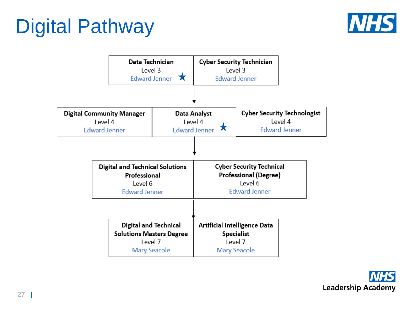# <span id="page-26-0"></span>Digital Pathway





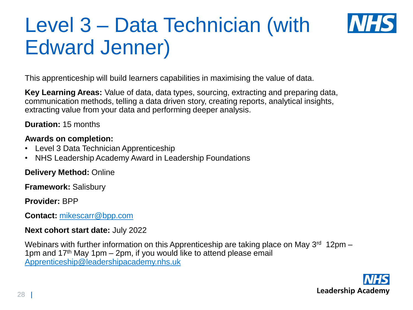# Level 3 – Data Technician (with Edward Jenner)



This apprenticeship will build learners capabilities in maximising the value of data.

**Key Learning Areas:** Value of data, data types, sourcing, extracting and preparing data, communication methods, telling a data driven story, creating reports, analytical insights, extracting value from your data and performing deeper analysis.

**Duration:** 15 months

#### **Awards on completion:**

- Level 3 Data Technician Apprenticeship
- NHS Leadership Academy Award in Leadership Foundations

**Delivery Method:** Online

**Framework:** Salisbury

**Provider:** BPP

**Contact:** [mikescarr@bpp.com](mailto:mikescarr@bpp.com)

#### **Next cohort start date:** July 2022

Webinars with further information on this Apprenticeship are taking place on May  $3<sup>rd</sup> 12<sup>pm</sup> -$ 1pm and  $17<sup>th</sup>$  May 1pm – 2pm, if you would like to attend please email [Apprenticeship@leadershipacademy.nhs.uk](mailto:Apprenticeship@leadershipacademy.nhs.uk)

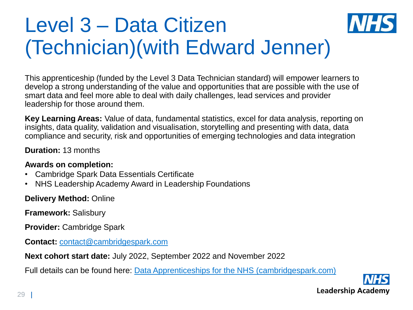# Level 3 – Data Citizen (Technician)(with Edward Jenner)



**Key Learning Areas:** Value of data, fundamental statistics, excel for data analysis, reporting on insights, data quality, validation and visualisation, storytelling and presenting with data, data compliance and security, risk and opportunities of emerging technologies and data integration

**Duration:** 13 months

#### **Awards on completion:**

- Cambridge Spark Data Essentials Certificate
- NHS Leadership Academy Award in Leadership Foundations

**Delivery Method:** Online

**Framework:** Salisbury

**Provider:** Cambridge Spark

**Contact:** [contact@cambridgespark.com](mailto:contact@cambridgespark.com)

**Next cohort start date:** July 2022, September 2022 and November 2022

Full details can be found here: [Data Apprenticeships for the NHS \(cambridgespark.com\)](https://info.cambridgespark.com/nhs-data-apprenticeships?utm_campaign=Partnership%20Lead%20Gen%20Drive&utm_source=NHS%20Landing%20Page&utm_medium=NHS%20Leadership%20Academy)

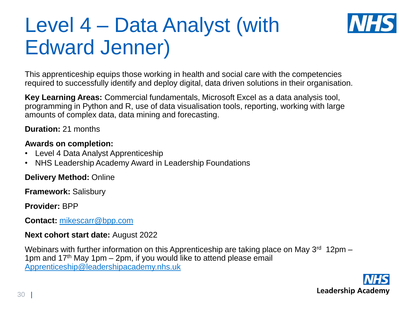# Level 4 – Data Analyst (with Edward Jenner)



**Key Learning Areas:** Commercial fundamentals, Microsoft Excel as a data analysis tool, programming in Python and R, use of data visualisation tools, reporting, working with large amounts of complex data, data mining and forecasting.

**Duration:** 21 months

#### **Awards on completion:**

- Level 4 Data Analyst Apprenticeship
- NHS Leadership Academy Award in Leadership Foundations

**Delivery Method:** Online

**Framework:** Salisbury

**Provider:** BPP

**Contact:** [mikescarr@bpp.com](mailto:mikescarr@bpp.com)

#### **Next cohort start date:** August 2022

Webinars with further information on this Apprenticeship are taking place on May  $3^{\text{rd}}$  12pm – 1pm and  $17<sup>th</sup>$  May 1pm – 2pm, if you would like to attend please email [Apprenticeship@leadershipacademy.nhs.uk](mailto:Apprenticeship@leadershipacademy.nhs.uk)

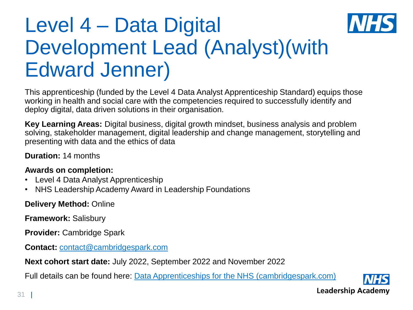# Level 4 – Data Digital Development Lead (Analyst)(with Edward Jenner)

This apprenticeship (funded by the Level 4 Data Analyst Apprenticeship Standard) equips those working in health and social care with the competencies required to successfully identify and deploy digital, data driven solutions in their organisation.

**Key Learning Areas:** Digital business, digital growth mindset, business analysis and problem solving, stakeholder management, digital leadership and change management, storytelling and presenting with data and the ethics of data

**Duration:** 14 months

#### **Awards on completion:**

- Level 4 Data Analyst Apprenticeship
- NHS Leadership Academy Award in Leadership Foundations

**Delivery Method:** Online

**Framework:** Salisbury

**Provider:** Cambridge Spark

**Contact:** [contact@cambridgespark.com](mailto:contact@cambridgespark.com)

**Next cohort start date:** July 2022, September 2022 and November 2022

Full details can be found here: [Data Apprenticeships for the NHS \(cambridgespark.com\)](https://info.cambridgespark.com/nhs-data-apprenticeships?utm_campaign=Partnership%20Lead%20Gen%20Drive&utm_source=NHS%20Landing%20Page&utm_medium=NHS%20Leadership%20Academy)

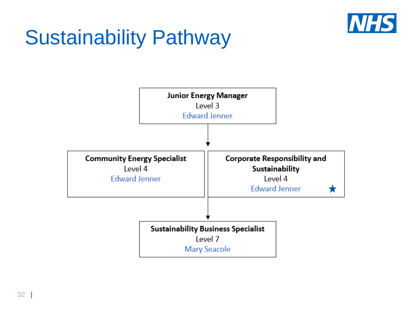

# <span id="page-31-0"></span>Sustainability Pathway

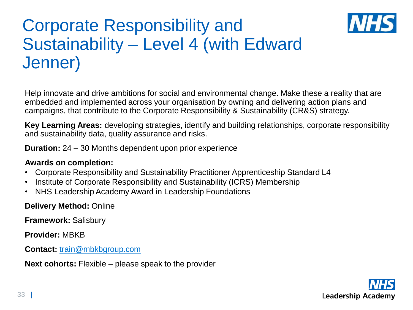## Corporate Responsibility and Sustainability – Level 4 (with Edward Jenner)



**Key Learning Areas:** developing strategies, identify and building relationships, corporate responsibility and sustainability data, quality assurance and risks.

**Duration:** 24 – 30 Months dependent upon prior experience

#### **Awards on completion:**

- Corporate Responsibility and Sustainability Practitioner Apprenticeship Standard L4
- Institute of Corporate Responsibility and Sustainability (ICRS) Membership
- NHS Leadership Academy Award in Leadership Foundations

**Delivery Method:** Online

**Framework:** Salisbury

**Provider:** MBKB

**Contact:** [train@mbkbgroup.com](mailto:mark@mbkbgroup.com)

**Next cohorts:** Flexible – please speak to the provider

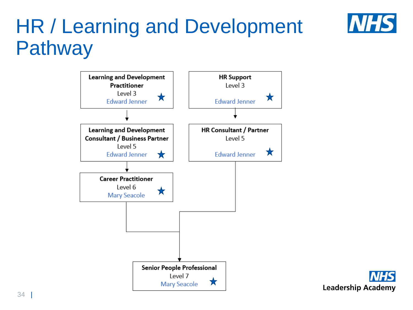

## <span id="page-33-0"></span>HR / Learning and Development Pathway



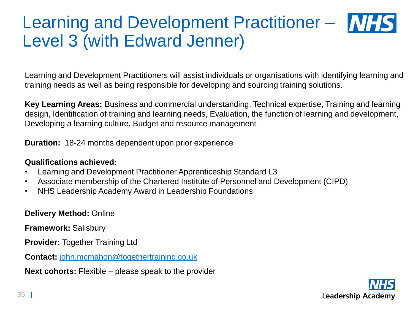### Learning and Development Practitioner – MHS Level 3 (with Edward Jenner)

Learning and Development Practitioners will assist individuals or organisations with identifying learning and training needs as well as being responsible for developing and sourcing training solutions.

**Key Learning Areas:** Business and commercial understanding, Technical expertise, Training and learning design, Identification of training and learning needs, Evaluation, the function of learning and development, Developing a learning culture, Budget and resource management

**Duration:** 18-24 months dependent upon prior experience

#### **Qualifications achieved:**

- Learning and Development Practitioner Apprenticeship Standard L3
- Associate membership of the Chartered Institute of Personnel and Development (CIPD)
- NHS Leadership Academy Award in Leadership Foundations

**Delivery Method:** Online

**Framework:** Salisbury

**Provider: Together Training Ltd** 

**Contact:** [john.mcmahon@togethertraining.co.uk](mailto:john.mcmahon@togethertraining.co.uk)

**Next cohorts:** Flexible – please speak to the provider

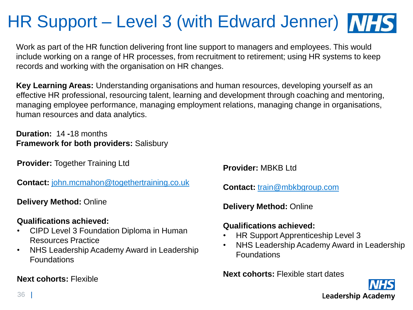## HR Support – Level 3 (with Edward Jenner) **NHS**

Work as part of the HR function delivering front line support to managers and employees. This would include working on a range of HR processes, from recruitment to retirement; using HR systems to keep records and working with the organisation on HR changes.

**Key Learning Areas:** Understanding organisations and human resources, developing yourself as an effective HR professional, resourcing talent, learning and development through coaching and mentoring, managing employee performance, managing employment relations, managing change in organisations, human resources and data analytics.

**Duration:** 14 **-**18 months **Framework for both providers:** Salisbury

**Provider: Together Training Ltd** 

**Contact:** [john.mcmahon@togethertraining.co.uk](mailto:john.mcmahon@togethertraining.co.uk)

**Delivery Method:** Online

#### **Qualifications achieved:**

- CIPD Level 3 Foundation Diploma in Human Resources Practice
- NHS Leadership Academy Award in Leadership Foundations

#### **Next cohorts:** Flexible

**Provider:** MBKB Ltd

**Contact:** [train@mbkbgroup.com](mailto:mark@mbkbgroup.com) 

**Delivery Method:** Online

#### **Qualifications achieved:**

- HR Support Apprenticeship Level 3
- NHS Leadership Academy Award in Leadership Foundations

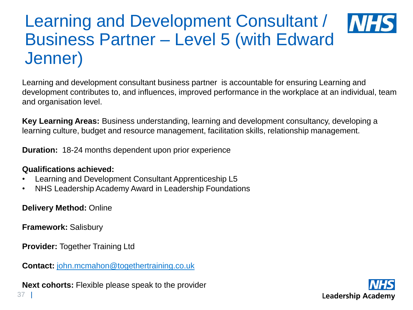### Learning and Development Consultant / **INF** Business Partner – Level 5 (with Edward Jenner)

Learning and development consultant business partner is accountable for ensuring Learning and development contributes to, and influences, improved performance in the workplace at an individual, team and organisation level.

**Key Learning Areas:** Business understanding, learning and development consultancy, developing a learning culture, budget and resource management, facilitation skills, relationship management.

**Duration:** 18-24 months dependent upon prior experience

#### **Qualifications achieved:**

- Learning and Development Consultant Apprenticeship L5
- NHS Leadership Academy Award in Leadership Foundations

**Delivery Method:** Online

**Framework:** Salisbury

**Provider: Together Training Ltd** 

**Contact:** [john.mcmahon@togethertraining.co.uk](mailto:john.mcmahon@togethertraining.co.uk)

**Next cohorts:** Flexible please speak to the provider

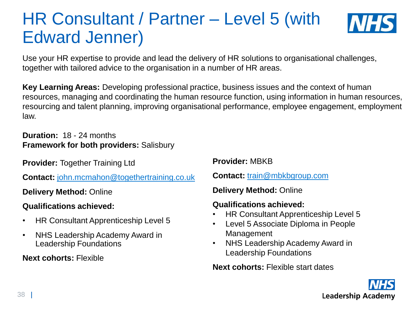## HR Consultant / Partner – Level 5 (with Edward Jenner)



Use your HR expertise to provide and lead the delivery of HR solutions to organisational challenges, together with tailored advice to the organisation in a number of HR areas.

**Key Learning Areas:** Developing professional practice, business issues and the context of human resources, managing and coordinating the human resource function, using information in human resources, resourcing and talent planning, improving organisational performance, employee engagement, employment law.

**Duration:** 18 - 24 months **Framework for both providers:** Salisbury

**Provider: Together Training Ltd** 

**Contact:** [john.mcmahon@togethertraining.co.uk](mailto:john.mcmahon@togethertraining.co.uk)

**Delivery Method:** Online

**Qualifications achieved:** 

- HR Consultant Apprenticeship Level 5
- NHS Leadership Academy Award in Leadership Foundations

**Next cohorts:** Flexible

**Provider:** MBKB

**Contact:** [train@mbkbgroup.com](mailto:mark@mbkbgroup.com) 

**Delivery Method:** Online

#### **Qualifications achieved:**

- HR Consultant Apprenticeship Level 5
- Level 5 Associate Diploma in People Management
- NHS Leadership Academy Award in Leadership Foundations

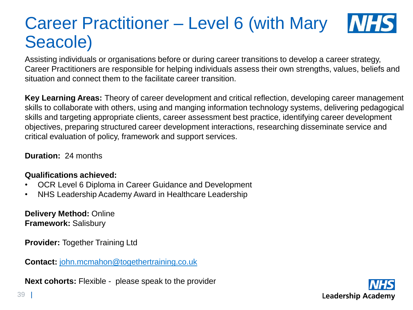#### Career Practitioner – Level 6 (with Mary **INF** Seacole)

Assisting individuals or organisations before or during career transitions to develop a career strategy, Career Practitioners are responsible for helping individuals assess their own strengths, values, beliefs and situation and connect them to the facilitate career transition.

**Key Learning Areas:** Theory of career development and critical reflection, developing career management skills to collaborate with others, using and manging information technology systems, delivering pedagogical skills and targeting appropriate clients, career assessment best practice, identifying career development objectives, preparing structured career development interactions, researching disseminate service and critical evaluation of policy, framework and support services.

**Duration:** 24 months

#### **Qualifications achieved:**

- OCR Level 6 Diploma in Career Guidance and Development
- NHS Leadership Academy Award in Healthcare Leadership

**Delivery Method:** Online **Framework:** Salisbury

**Provider:** Together Training Ltd

**Contact:** [john.mcmahon@togethertraining.co.uk](mailto:john.mcmahon@togethertraining.co.uk)

**Next cohorts:** Flexible - please speak to the provider

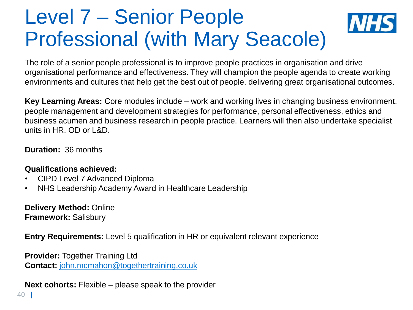## Level 7 – Senior People Professional (with Mary Seacole)

The role of a senior people professional is to improve people practices in organisation and drive organisational performance and effectiveness. They will champion the people agenda to create working environments and cultures that help get the best out of people, delivering great organisational outcomes.

**Key Learning Areas:** Core modules include – work and working lives in changing business environment, people management and development strategies for performance, personal effectiveness, ethics and business acumen and business research in people practice. Learners will then also undertake specialist units in HR, OD or L&D.

**Duration:** 36 months

#### **Qualifications achieved:**

- CIPD Level 7 Advanced Diploma
- NHS Leadership Academy Award in Healthcare Leadership

**Delivery Method:** Online **Framework:** Salisbury

**Entry Requirements:** Level 5 qualification in HR or equivalent relevant experience

**Provider:** Together Training Ltd **Contact:** [john.mcmahon@togethertraining.co.uk](mailto:john.mcmahon@togethertraining.co.uk)

**Next cohorts:** Flexible – please speak to the provider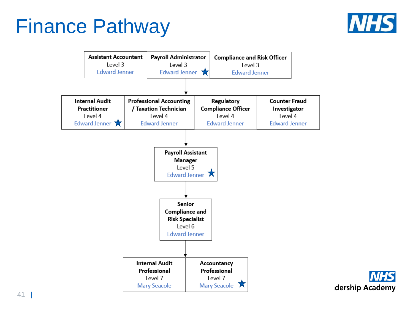## <span id="page-40-0"></span>Finance Pathway





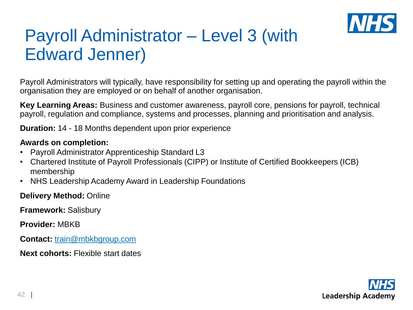

## Payroll Administrator – Level 3 (with Edward Jenner)

Payroll Administrators will typically, have responsibility for setting up and operating the payroll within the organisation they are employed or on behalf of another organisation.

**Key Learning Areas:** Business and customer awareness, payroll core, pensions for payroll, technical payroll, regulation and compliance, systems and processes, planning and prioritisation and analysis.

**Duration:** 14 - 18 Months dependent upon prior experience

#### **Awards on completion:**

- Payroll Administrator Apprenticeship Standard L3
- Chartered Institute of Payroll Professionals (CIPP) or Institute of Certified Bookkeepers (ICB) membership
- NHS Leadership Academy Award in Leadership Foundations

**Delivery Method:** Online

**Framework:** Salisbury

**Provider:** MBKB

**Contact:** [train@mbkbgroup.com](mailto:mark@mbkbgroup.com) 

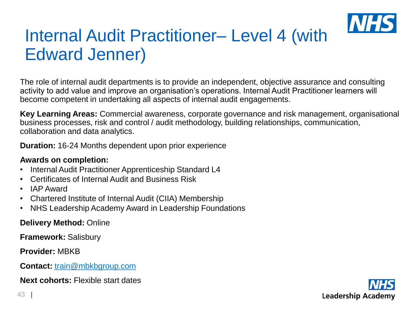

## Internal Audit Practitioner– Level 4 (with Edward Jenner)

The role of internal audit departments is to provide an independent, objective assurance and consulting activity to add value and improve an organisation's operations. Internal Audit Practitioner learners will become competent in undertaking all aspects of internal audit engagements.

**Key Learning Areas:** Commercial awareness, corporate governance and risk management, organisational business processes, risk and control / audit methodology, building relationships, communication, collaboration and data analytics.

**Duration:** 16-24 Months dependent upon prior experience

#### **Awards on completion:**

- Internal Audit Practitioner Apprenticeship Standard L4
- Certificates of Internal Audit and Business Risk
- IAP Award
- Chartered Institute of Internal Audit (CIIA) Membership
- NHS Leadership Academy Award in Leadership Foundations

**Delivery Method:** Online

**Framework:** Salisbury

**Provider:** MBKB

**Contact:** [train@mbkbgroup.com](mailto:mark@mbkbgroup.com)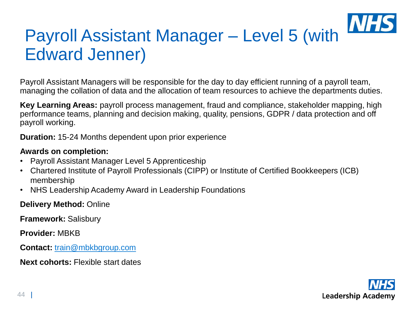## Payroll Assistant Manager – Level 5 (with Edward Jenner)

Payroll Assistant Managers will be responsible for the day to day efficient running of a payroll team, managing the collation of data and the allocation of team resources to achieve the departments duties.

**Key Learning Areas:** payroll process management, fraud and compliance, stakeholder mapping, high performance teams, planning and decision making, quality, pensions, GDPR / data protection and off payroll working.

**Duration:** 15-24 Months dependent upon prior experience

#### **Awards on completion:**

- Payroll Assistant Manager Level 5 Apprenticeship
- Chartered Institute of Payroll Professionals (CIPP) or Institute of Certified Bookkeepers (ICB) membership
- NHS Leadership Academy Award in Leadership Foundations

**Delivery Method:** Online

**Framework:** Salisbury

**Provider:** MBKB

**Contact:** [train@mbkbgroup.com](mailto:mark@mbkbgroup.com) 

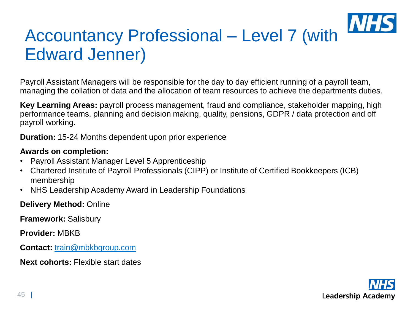## Accountancy Professional – Level 7 (with Edward Jenner)

Payroll Assistant Managers will be responsible for the day to day efficient running of a payroll team, managing the collation of data and the allocation of team resources to achieve the departments duties.

**Key Learning Areas:** payroll process management, fraud and compliance, stakeholder mapping, high performance teams, planning and decision making, quality, pensions, GDPR / data protection and off payroll working.

**Duration:** 15-24 Months dependent upon prior experience

#### **Awards on completion:**

- Payroll Assistant Manager Level 5 Apprenticeship
- Chartered Institute of Payroll Professionals (CIPP) or Institute of Certified Bookkeepers (ICB) membership
- NHS Leadership Academy Award in Leadership Foundations

**Delivery Method:** Online

**Framework:** Salisbury

**Provider:** MBKB

**Contact:** [train@mbkbgroup.com](mailto:mark@mbkbgroup.com) 

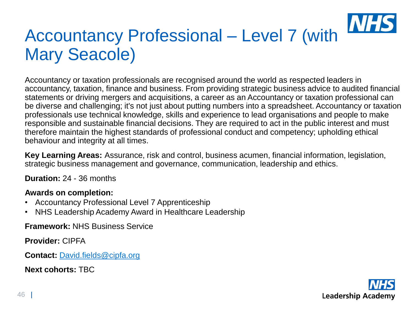### **IVI** Accountancy Professional – Level 7 (with Mary Seacole)

Accountancy or taxation professionals are recognised around the world as respected leaders in accountancy, taxation, finance and business. From providing strategic business advice to audited financial statements or driving mergers and acquisitions, a career as an Accountancy or taxation professional can be diverse and challenging; it's not just about putting numbers into a spreadsheet. Accountancy or taxation professionals use technical knowledge, skills and experience to lead organisations and people to make responsible and sustainable financial decisions. They are required to act in the public interest and must therefore maintain the highest standards of professional conduct and competency; upholding ethical behaviour and integrity at all times.

**Key Learning Areas:** Assurance, risk and control, business acumen, financial information, legislation, strategic business management and governance, communication, leadership and ethics.

**Duration:** 24 - 36 months

#### **Awards on completion:**

- Accountancy Professional Level 7 Apprenticeship
- NHS Leadership Academy Award in Healthcare Leadership

**Framework:** NHS Business Service

**Provider:** CIPFA

**Contact:** [David.fields@cipfa.org](mailto:David.fields@cipfa.org)

**Next cohorts:** TBC

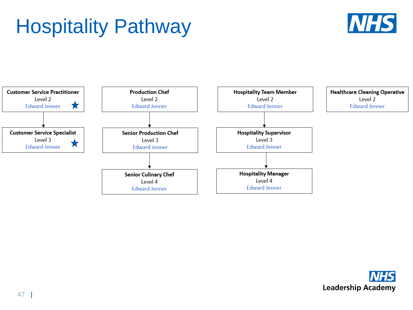# <span id="page-46-0"></span>Hospitality Pathway





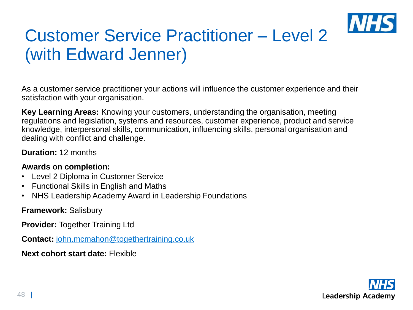

## Customer Service Practitioner – Level 2 (with Edward Jenner)

As a customer service practitioner your actions will influence the customer experience and their satisfaction with your organisation.

**Key Learning Areas:** Knowing your customers, understanding the organisation, meeting regulations and legislation, systems and resources, customer experience, product and service knowledge, interpersonal skills, communication, influencing skills, personal organisation and dealing with conflict and challenge.

**Duration:** 12 months

#### **Awards on completion:**

- Level 2 Diploma in Customer Service
- Functional Skills in English and Maths
- NHS Leadership Academy Award in Leadership Foundations

**Framework:** Salisbury

**Provider:** Together Training Ltd

**Contact:** [john.mcmahon@togethertraining.co.uk](mailto:john.mcmahon@togethertraining.co.uk)

**Next cohort start date:** Flexible

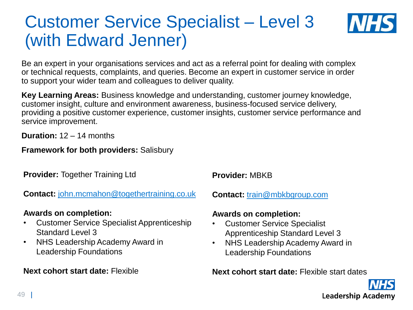## Customer Service Specialist – Level 3 (with Edward Jenner)



Be an expert in your organisations services and act as a referral point for dealing with complex or technical requests, complaints, and queries. Become an expert in customer service in order to support your wider team and colleagues to deliver quality.

**Key Learning Areas:** Business knowledge and understanding, customer journey knowledge, customer insight, culture and environment awareness, business-focused service delivery, providing a positive customer experience, customer insights, customer service performance and service improvement.

**Duration:** 12 – 14 months

#### **Framework for both providers:** Salisbury

**Provider:** Together Training Ltd

**Contact:** [john.mcmahon@togethertraining.co.uk](mailto:john.mcmahon@togethertraining.co.uk)

#### **Awards on completion:**

- Customer Service Specialist Apprenticeship Standard Level 3
- NHS Leadership Academy Award in Leadership Foundations

#### **Next cohort start date:** Flexible

**Provider:** MBKB

**Contact:** [train@mbkbgroup.com](mailto:mark@mbkbgroup.com) 

#### **Awards on completion:**

- Customer Service Specialist Apprenticeship Standard Level 3
- NHS Leadership Academy Award in Leadership Foundations

**Next cohort start date:** Flexible start dates

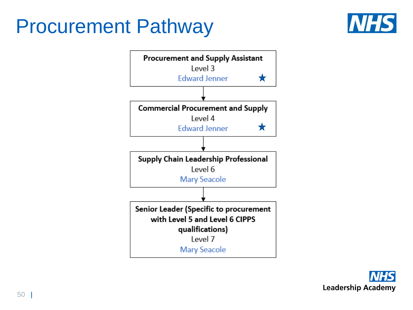## <span id="page-49-0"></span>Procurement Pathway





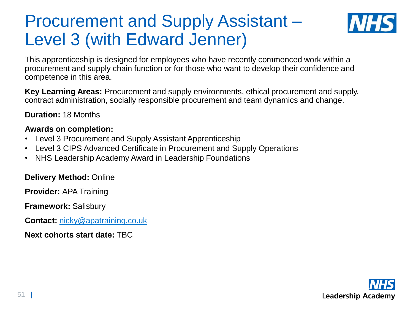## Procurement and Supply Assistant – Level 3 (with Edward Jenner)



This apprenticeship is designed for employees who have recently commenced work within a procurement and supply chain function or for those who want to develop their confidence and competence in this area.

**Key Learning Areas:** Procurement and supply environments, ethical procurement and supply, contract administration, socially responsible procurement and team dynamics and change.

**Duration:** 18 Months

#### **Awards on completion:**

- Level 3 Procurement and Supply Assistant Apprenticeship
- Level 3 CIPS Advanced Certificate in Procurement and Supply Operations
- NHS Leadership Academy Award in Leadership Foundations

#### **Delivery Method:** Online

**Provider:** APA Training

**Framework:** Salisbury

**Contact:** [nicky@apatraining.co.uk](mailto:nicky@apatraining.co.uk)

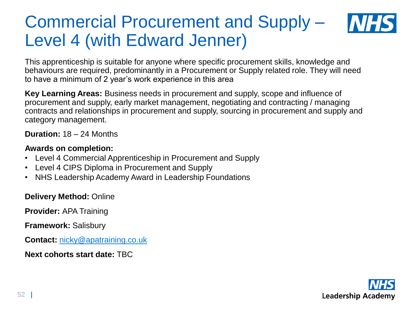### Commercial Procurement and Supply – Level 4 (with Edward Jenner)



This apprenticeship is suitable for anyone where specific procurement skills, knowledge and behaviours are required, predominantly in a Procurement or Supply related role. They will need to have a minimum of 2 year's work experience in this area

**Key Learning Areas:** Business needs in procurement and supply, scope and influence of procurement and supply, early market management, negotiating and contracting / managing contracts and relationships in procurement and supply, sourcing in procurement and supply and category management.

**Duration:** 18 – 24 Months

#### **Awards on completion:**

- Level 4 Commercial Apprenticeship in Procurement and Supply
- Level 4 CIPS Diploma in Procurement and Supply
- NHS Leadership Academy Award in Leadership Foundations

#### **Delivery Method:** Online

**Provider:** APA Training

**Framework:** Salisbury

**Contact:** [nicky@apatraining.co.uk](mailto:nicky@apatraining.co.uk)

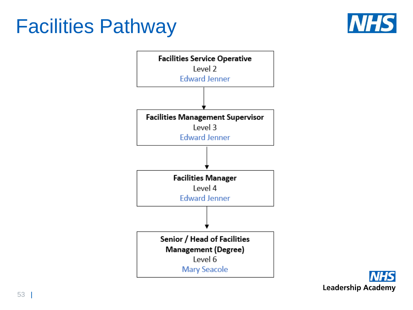## <span id="page-52-0"></span>Facilities Pathway





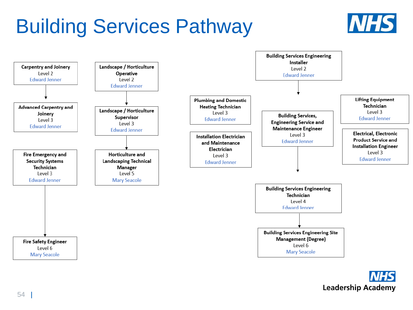## <span id="page-53-0"></span>Building Services Pathway